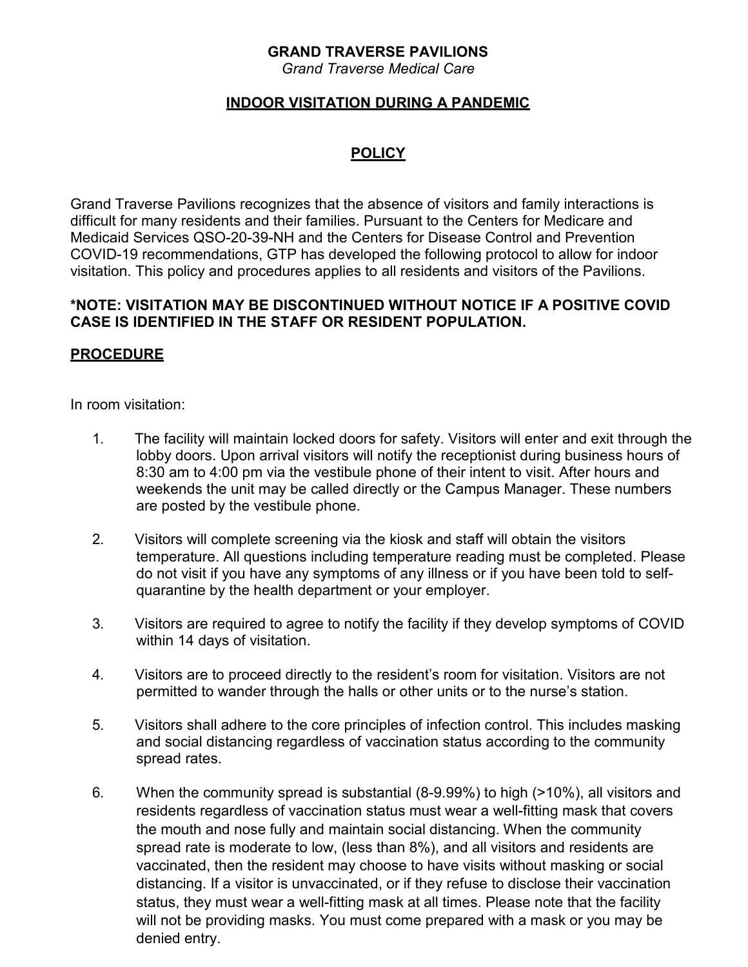# **GRAND TRAVERSE PAVILIONS**

*Grand Traverse Medical Care*

## **INDOOR VISITATION DURING A PANDEMIC**

# **POLICY**

Grand Traverse Pavilions recognizes that the absence of visitors and family interactions is difficult for many residents and their families. Pursuant to the Centers for Medicare and Medicaid Services QSO-20-39-NH and the Centers for Disease Control and Prevention COVID-19 recommendations, GTP has developed the following protocol to allow for indoor visitation. This policy and procedures applies to all residents and visitors of the Pavilions.

#### **\*NOTE: VISITATION MAY BE DISCONTINUED WITHOUT NOTICE IF A POSITIVE COVID CASE IS IDENTIFIED IN THE STAFF OR RESIDENT POPULATION.**

## **PROCEDURE**

In room visitation:

- 1. The facility will maintain locked doors for safety. Visitors will enter and exit through the lobby doors. Upon arrival visitors will notify the receptionist during business hours of 8:30 am to 4:00 pm via the vestibule phone of their intent to visit. After hours and weekends the unit may be called directly or the Campus Manager. These numbers are posted by the vestibule phone.
- 2. Visitors will complete screening via the kiosk and staff will obtain the visitors temperature. All questions including temperature reading must be completed. Please do not visit if you have any symptoms of any illness or if you have been told to selfquarantine by the health department or your employer.
- 3. Visitors are required to agree to notify the facility if they develop symptoms of COVID within 14 days of visitation.
- 4. Visitors are to proceed directly to the resident's room for visitation. Visitors are not permitted to wander through the halls or other units or to the nurse's station.
- 5. Visitors shall adhere to the core principles of infection control. This includes masking and social distancing regardless of vaccination status according to the community spread rates.
- 6. When the community spread is substantial (8-9.99%) to high (>10%), all visitors and residents regardless of vaccination status must wear a well-fitting mask that covers the mouth and nose fully and maintain social distancing. When the community spread rate is moderate to low, (less than 8%), and all visitors and residents are vaccinated, then the resident may choose to have visits without masking or social distancing. If a visitor is unvaccinated, or if they refuse to disclose their vaccination status, they must wear a well-fitting mask at all times. Please note that the facility will not be providing masks. You must come prepared with a mask or you may be denied entry.